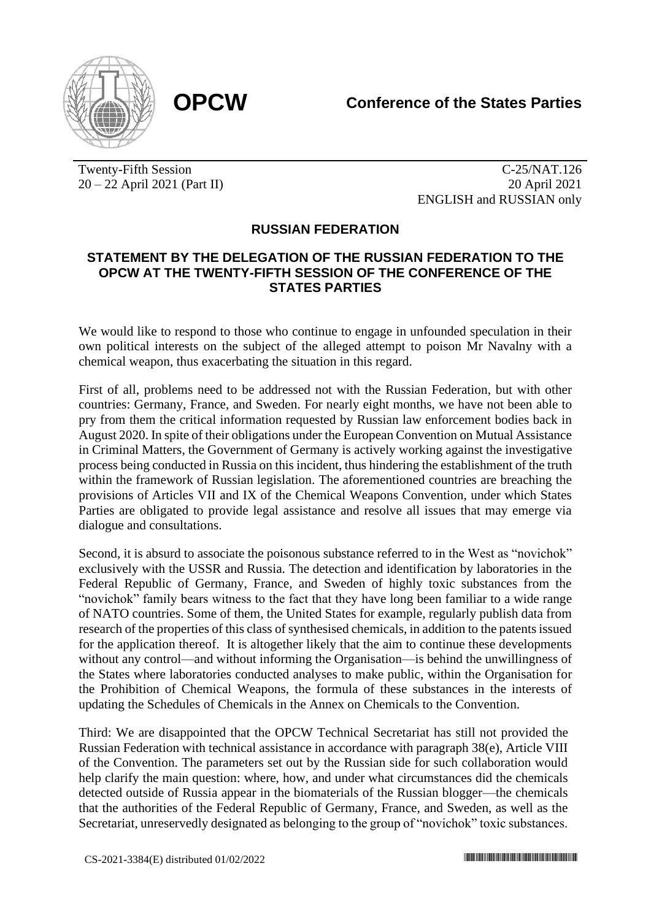

Twenty-Fifth Session 20 – 22 April 2021 (Part II)

C-25/NAT.126 20 April 2021 ENGLISH and RUSSIAN only

## **RUSSIAN FEDERATION**

## **STATEMENT BY THE DELEGATION OF THE RUSSIAN FEDERATION TO THE OPCW AT THE TWENTY-FIFTH SESSION OF THE CONFERENCE OF THE STATES PARTIES**

We would like to respond to those who continue to engage in unfounded speculation in their own political interests on the subject of the alleged attempt to poison Mr Navalny with a chemical weapon, thus exacerbating the situation in this regard.

First of all, problems need to be addressed not with the Russian Federation, but with other countries: Germany, France, and Sweden. For nearly eight months, we have not been able to pry from them the critical information requested by Russian law enforcement bodies back in August 2020. In spite of their obligations under the European Convention on Mutual Assistance in Criminal Matters, the Government of Germany is actively working against the investigative process being conducted in Russia on this incident, thus hindering the establishment of the truth within the framework of Russian legislation. The aforementioned countries are breaching the provisions of Articles VII and IX of the Chemical Weapons Convention, under which States Parties are obligated to provide legal assistance and resolve all issues that may emerge via dialogue and consultations.

Second, it is absurd to associate the poisonous substance referred to in the West as "novichok" exclusively with the USSR and Russia. The detection and identification by laboratories in the Federal Republic of Germany, France, and Sweden of highly toxic substances from the "novichok" family bears witness to the fact that they have long been familiar to a wide range of NATO countries. Some of them, the United States for example, regularly publish data from research of the properties of this class of synthesised chemicals, in addition to the patents issued for the application thereof. It is altogether likely that the aim to continue these developments without any control—and without informing the Organisation—is behind the unwillingness of the States where laboratories conducted analyses to make public, within the Organisation for the Prohibition of Chemical Weapons, the formula of these substances in the interests of updating the Schedules of Chemicals in the Annex on Chemicals to the Convention.

Third: We are disappointed that the OPCW Technical Secretariat has still not provided the Russian Federation with technical assistance in accordance with paragraph 38(e), Article VIII of the Convention. The parameters set out by the Russian side for such collaboration would help clarify the main question: where, how, and under what circumstances did the chemicals detected outside of Russia appear in the biomaterials of the Russian blogger—the chemicals that the authorities of the Federal Republic of Germany, France, and Sweden, as well as the Secretariat, unreservedly designated as belonging to the group of "novichok" toxic substances.